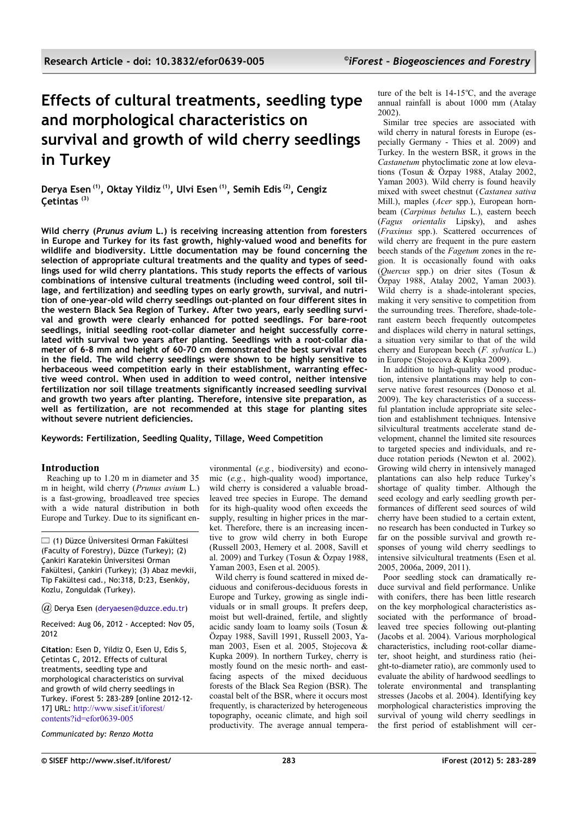# **Effects of cultural treatments, seedling type and morphological characteristics on survival and growth of wild cherry seedlings in Turkey**

**Derya Esen (1), Oktay Yildiz (1), Ulvi Esen (1), Semih Edis (2), Cengiz Çetintas (3)**

**Wild cherry (***Prunus avium* **L.) is receiving increasing attention from foresters in Europe and Turkey for its fast growth, highly-valued wood and benefits for wildlife and biodiversity. Little documentation may be found concerning the selection of appropriate cultural treatments and the quality and types of seedlings used for wild cherry plantations. This study reports the effects of various combinations of intensive cultural treatments (including weed control, soil tillage, and fertilization) and seedling types on early growth, survival, and nutrition of one-year-old wild cherry seedlings out-planted on four different sites in the western Black Sea Region of Turkey. After two years, early seedling survival and growth were clearly enhanced for potted seedlings. For bare-root seedlings, initial seedling root-collar diameter and height successfully correlated with survival two years after planting. Seedlings with a root-collar diameter of 6-8 mm and height of 60-70 cm demonstrated the best survival rates in the field. The wild cherry seedlings were shown to be highly sensitive to herbaceous weed competition early in their establishment, warranting effective weed control. When used in addition to weed control, neither intensive fertilization nor soil tillage treatments significantly increased seedling survival and growth two years after planting. Therefore, intensive site preparation, as well as fertilization, are not recommended at this stage for planting sites without severe nutrient deficiencies.**

**Keywords: Fertilization, Seedling Quality, Tillage, Weed Competition**

# **Introduction**

Reaching up to 1.20 m in diameter and 35 m in height, wild cherry (*Prunus avium* L.) is a fast-growing, broadleaved tree species with a wide natural distribution in both Europe and Turkey. Due to its significant en-

(1) Düzce Üniversitesi Orman Fakültesi (Faculty of Forestry), Düzce (Turkey); (2) Çankiri Karatekin Üniversitesi Orman Fakültesi, Çankiri (Turkey); (3) Abaz mevkii, Tip Fakültesi cad., No:318, D:23, Esenköy, Kozlu, Zonguldak (Turkey).

*@* Derya Esen [\(deryaesen@duzce.edu.tr\)](mailto:)

Received: Aug 06, 2012 - Accepted: Nov 05, 2012

**Citation**: Esen D, Yildiz O, Esen U, Edis S, Çetintas C, 2012. Effects of cultural treatments, seedling type and morphological characteristics on survival and growth of wild cherry seedlings in Turkey. iForest 5: 283-289 [online 2012-12- 17] URL: <http://www.sisef.it/iforest/> [contents?id=efor0639-005](http://www.sisef.it/iforest/contents?id=efor0639-005)

*Communicated by: Renzo Motta*

vironmental (*e.g.*, biodiversity) and economic (*e.g.*, high-quality wood) importance, wild cherry is considered a valuable broadleaved tree species in Europe. The demand for its high-quality wood often exceeds the supply, resulting in higher prices in the market. Therefore, there is an increasing incentive to grow wild cherry in both Europe (Russell 2003, Hemery et al. 2008, Savill et al. 2009) and Turkey (Tosun & Özpay 1988, Yaman 2003, Esen et al. 2005).

Wild cherry is found scattered in mixed deciduous and coniferous-deciduous forests in Europe and Turkey, growing as single individuals or in small groups. It prefers deep, moist but well-drained, fertile, and slightly acidic sandy loam to loamy soils (Tosun & Özpay 1988, Savill 1991, Russell 2003, Yaman 2003, Esen et al. 2005, Stojecova & Kupka 2009). In northern Turkey, cherry is mostly found on the mesic north- and eastfacing aspects of the mixed deciduous forests of the Black Sea Region (BSR). The coastal belt of the BSR, where it occurs most frequently, is characterized by heterogeneous topography, oceanic climate, and high soil productivity. The average annual tempera-

ture of the belt is  $14-15^{\circ}$ C, and the average annual rainfall is about 1000 mm (Atalay 2002).

Similar tree species are associated with wild cherry in natural forests in Europe (especially Germany - Thies et al. 2009) and Turkey. In the western BSR, it grows in the *Castanetum* phytoclimatic zone at low elevations (Tosun & Özpay 1988, Atalay 2002, Yaman 2003). Wild cherry is found heavily mixed with sweet chestnut (*Castanea sativa* Mill.), maples (*Acer* spp.), European hornbeam (*Carpinus betulus* L.), eastern beech (*Fagus orientalis* Lipsky), and ashes (*Fraxinus* spp.). Scattered occurrences of wild cherry are frequent in the pure eastern beech stands of the *Fagetum* zones in the region. It is occasionally found with oaks (*Quercus* spp.) on drier sites (Tosun & Özpay 1988, Atalay 2002, Yaman 2003). Wild cherry is a shade-intolerant species, making it very sensitive to competition from the surrounding trees. Therefore, shade-tolerant eastern beech frequently outcompetes and displaces wild cherry in natural settings, a situation very similar to that of the wild cherry and European beech (*F. sylvatica* L.) in Europe (Stojecova & Kupka 2009).

In addition to high-quality wood production, intensive plantations may help to conserve native forest resources (Donoso et al. 2009). The key characteristics of a successful plantation include appropriate site selection and establishment techniques. Intensive silvicultural treatments accelerate stand development, channel the limited site resources to targeted species and individuals, and reduce rotation periods (Newton et al. 2002). Growing wild cherry in intensively managed plantations can also help reduce Turkey's shortage of quality timber. Although the seed ecology and early seedling growth performances of different seed sources of wild cherry have been studied to a certain extent, no research has been conducted in Turkey so far on the possible survival and growth responses of young wild cherry seedlings to intensive silvicultural treatments (Esen et al. 2005, 2006a, 2009, 2011).

Poor seedling stock can dramatically reduce survival and field performance. Unlike with conifers, there has been little research on the key morphological characteristics associated with the performance of broadleaved tree species following out-planting (Jacobs et al. 2004). Various morphological characteristics, including root-collar diameter, shoot height, and sturdiness ratio (height-to-diameter ratio), are commonly used to evaluate the ability of hardwood seedlings to tolerate environmental and transplanting stresses (Jacobs et al. 2004). Identifying key morphological characteristics improving the survival of young wild cherry seedlings in the first period of establishment will cer-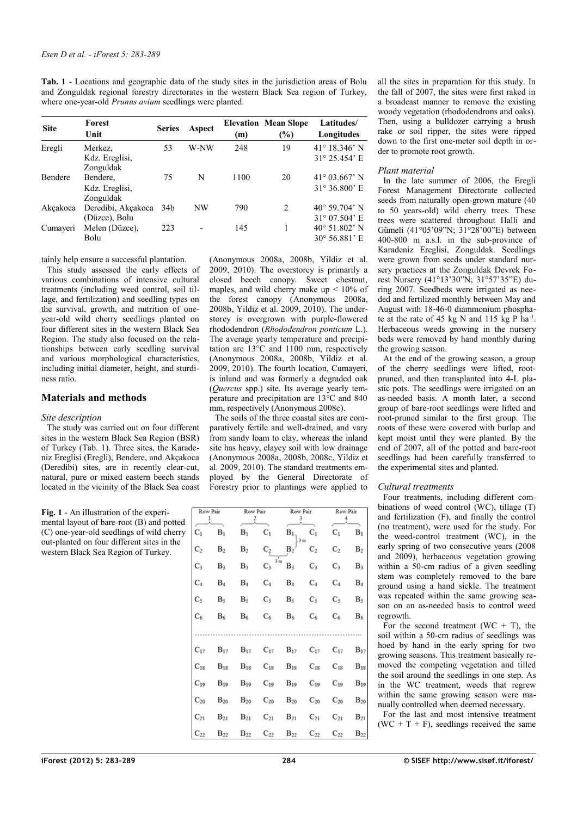<span id="page-1-0"></span>**Tab. 1** - Locations and geographic data of the study sites in the jurisdiction areas of Bolu and Zonguldak regional forestry directorates in the western Black Sea region of Turkey, where one-year-old *Prunus avium* seedlings were planted.

| <b>Forest</b><br>Unit | <b>Series</b> | Aspect             | (m)  | $(\%)$         | Latitudes/<br>Longitudes      |
|-----------------------|---------------|--------------------|------|----------------|-------------------------------|
| Merkez.               | 53            | W-NW               | 248  | 19             | $41^{\circ}$ 18.346' N        |
| Kdz. Ereglisi,        |               |                    |      |                | $31^{\circ}$ 25.454' E        |
| Zonguldak             |               |                    |      |                |                               |
| Bendere,              | 75            | N                  | 1100 | 20             | $41^{\circ}$ 03.667' N        |
| Kdz. Ereglisi,        |               |                    |      |                | $31^{\circ} 36.800^{\circ}$ E |
| Zonguldak             |               |                    |      |                |                               |
|                       | 34b           | NW                 | 790  | $\mathfrak{D}$ | $40^{\circ}$ 59.704' N        |
| (Düzce), Bolu         |               |                    |      |                | $31^{\circ}$ 07.504' E        |
| Melen (Düzce),        | 223           |                    | 145  |                | $40^{\circ}$ 51.802' N        |
| Bolu                  |               |                    |      |                | $30^{\circ}$ 56.881' E        |
|                       |               | Deredibi, Akçakoca |      |                | <b>Elevation Mean Slope</b>   |

tainly help ensure a successful plantation.

This study assessed the early effects of various combinations of intensive cultural treatments (including weed control, soil tillage, and fertilization) and seedling types on the survival, growth, and nutrition of oneyear-old wild cherry seedlings planted on four different sites in the western Black Sea Region. The study also focused on the relationships between early seedling survival and various morphological characteristics, including initial diameter, height, and sturdiness ratio.

# **Materials and methods**

### *Site description*

The study was carried out on four different sites in the western Black Sea Region (BSR) of Turkey [\(Tab. 1\)](#page-1-0). Three sites, the Karadeniz Ereglisi (Eregli), Bendere, and Akçakoca (Deredibi) sites, are in recently clear-cut, natural, pure or mixed eastern beech stands located in the vicinity of the Black Sea coast

<span id="page-1-1"></span>**Fig. 1** - An illustration of the experimental layout of bare-root (B) and potted (C) one-year-old seedlings of wild cherry out-planted on four different sites in the western Black Sea Region of Turkey.

| Row Pair<br>1  |                |                | Row Pair<br>2          |                            | Row Pair<br>3  |                | Row Pair       |  |
|----------------|----------------|----------------|------------------------|----------------------------|----------------|----------------|----------------|--|
| $C_1$          | B <sub>1</sub> | B <sub>1</sub> | $C_1$                  | $\mathbf{B}_1$             | $C_1$          | $C_1$          | $B_1$          |  |
| C <sub>2</sub> | B <sub>2</sub> | B <sub>2</sub> | $C_2$                  | B <sub>2</sub>             | C <sub>2</sub> | C <sub>2</sub> | B <sub>2</sub> |  |
| $C_3$          | B <sub>3</sub> | $B_3$          | $3 \text{ m}$<br>$C_3$ | $B_3$                      | $C_3$          | $C_3$          | B <sub>3</sub> |  |
| $C_4$          | B <sub>4</sub> | $B_4$          | $C_4$                  | $B_4$                      | $C_4$          | $\mathrm{C}_4$ | B <sub>4</sub> |  |
| $C_5$          | $B_5$          | $B_5$          | $C_5$                  | $B_5$                      | $C_5$          | $C_5$          | $B_5$          |  |
| $C_6$          | $B_6$          | $B_6$          | $C_6$                  | $\mathrm{B}_6$             | $C_6$          | $C_6$          | $B_6$          |  |
| $C_{17}$       | $B_{17}$       |                |                        | $B_{17}$ $C_{17}$ $B_{17}$ | $C_{17}$       | $C_{17}$       | $B_{17}$       |  |
| $C_{18}$       | $B_{18}$       | $B_{18}$       | $C_{18}$               | $B_{18}$                   | $C_{18}$       | $C_{18}$       | $B_{18}$       |  |
| $C_{19}$       | $B_{19}$       | $B_{19}$       | $C_{19}$               | $B_{19}$                   | $C_{19}$       | $C_{19}$       | $B_{19}$       |  |
| $C_{20}$       | $B_{20}$       | $B_{20}$       | $C_{20}$               | $B_{20}$                   | $C_{20}$       | $C_{20}$       | $B_{20}$       |  |
| $C_{21}$       | $B_{21}$       | $B_{21}$       | $C_{21}$               | $B_{21}$                   | $C_{21}$       | $C_{21}$       | $B_{21}$       |  |
| $C_{22}$       | $B_{22}$       | $B_{22}$       | $C_{22}$               | $B_{22}$                   | $C_{22}$       | $C_{22}$       | $B_{22}$       |  |

(Anonymous 2008a, 2008b, Yildiz et al. 2009, 2010). The overstorey is primarily a closed beech canopy. Sweet chestnut, maples, and wild cherry make up  $\leq 10\%$  of the forest canopy (Anonymous 2008a, 2008b, Yildiz et al. 2009, 2010). The understorey is overgrown with purple-flowered rhododendron (*Rhododendron ponticum* L.). The average yearly temperature and precipitation are  $13^{\circ}$ C and  $1100$  mm, respectively (Anonymous 2008a, 2008b, Yildiz et al. 2009, 2010). The fourth location, Cumayeri, is inland and was formerly a degraded oak (*Quercus* spp.) site. Its average yearly temperature and precipitation are 13°C and 840 mm, respectively (Anonymous 2008c). The soils of the three coastal sites are comparatively fertile and well-drained, and vary from sandy loam to clay, whereas the inland site has heavy, clayey soil with low drainage (Anonymous 2008a, 2008b, 2008c, Yildiz et al. 2009, 2010). The standard treatments employed by the General Directorate of all the sites in preparation for this study. In the fall of 2007, the sites were first raked in a broadcast manner to remove the existing woody vegetation (rhododendrons and oaks). Then, using a bulldozer carrying a brush rake or soil ripper, the sites were ripped down to the first one-meter soil depth in order to promote root growth.

## *Plant material*

In the late summer of 2006, the Eregli Forest Management Directorate collected seeds from naturally open-grown mature (40 to 50 years-old) wild cherry trees. These trees were scattered throughout Halli and Gümeli (41°05'09"N; 31°28'00"E) between 400-800 m a.s.l. in the sub-province of Karadeniz Ereglisi, Zonguldak. Seedlings were grown from seeds under standard nursery practices at the Zonguldak Devrek Forest Nursery (41°13'30"N; 31°57'35"E) during 2007. Seedbeds were irrigated as needed and fertilized monthly between May and August with 18-46-0 diammonium phosphate at the rate of 45 kg N and 115 kg P ha $^{-1}$ . Herbaceous weeds growing in the nursery beds were removed by hand monthly during the growing season.

At the end of the growing season, a group of the cherry seedlings were lifted, rootpruned, and then transplanted into 4-L plastic pots. The seedlings were irrigated on an as-needed basis. A month later, a second group of bare-root seedlings were lifted and root-pruned similar to the first group. The roots of these were covered with burlap and kept moist until they were planted. By the end of 2007, all of the potted and bare-root seedlings had been carefully transferred to the experimental sites and planted.

## *Cultural treatments*

Four treatments, including different combinations of weed control (WC), tillage (T) and fertilization (F), and finally the control (no treatment), were used for the study. For the weed-control treatment (WC), in the early spring of two consecutive years (2008 and 2009), herbaceous vegetation growing within a 50-cm radius of a given seedling stem was completely removed to the bare ground using a hand sickle. The treatment was repeated within the same growing season on an as-needed basis to control weed regrowth.

For the second treatment (WC  $+$  T), the soil within a 50-cm radius of seedlings was hoed by hand in the early spring for two growing seasons. This treatment basically removed the competing vegetation and tilled the soil around the seedlings in one step. As in the WC treatment, weeds that regrew within the same growing season were manually controlled when deemed necessary.

For the last and most intensive treatment (WC + T + F), seedlings received the same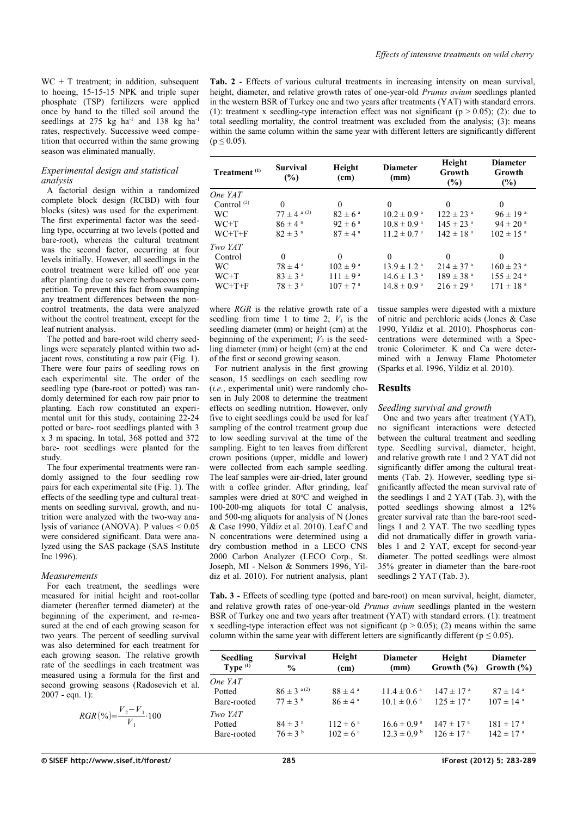$WC + T$  treatment; in addition, subsequent to hoeing, 15-15-15 NPK and triple super phosphate (TSP) fertilizers were applied once by hand to the tilled soil around the seedlings at 275 kg ha<sup>-1</sup> and 138 kg ha<sup>-1</sup> rates, respectively. Successive weed competition that occurred within the same growing season was eliminated manually.

## *Experimental design and statistical analysis*

A factorial design within a randomized complete block design (RCBD) with four blocks (sites) was used for the experiment. The first experimental factor was the seedling type, occurring at two levels (potted and bare-root), whereas the cultural treatment was the second factor, occurring at four levels initially. However, all seedlings in the control treatment were killed off one year after planting due to severe herbaceous competition. To prevent this fact from swamping any treatment differences between the noncontrol treatments, the data were analyzed without the control treatment, except for the leaf nutrient analysis.

The potted and bare-root wild cherry seedlings were separately planted within two adjacent rows, constituting a row pair [\(Fig. 1\)](#page-1-1). There were four pairs of seedling rows on each experimental site. The order of the seedling type (bare-root or potted) was randomly determined for each row pair prior to planting. Each row constituted an experimental unit for this study, containing 22-24 potted or bare- root seedlings planted with 3 x 3 m spacing. In total, 368 potted and 372 bare- root seedlings were planted for the study.

The four experimental treatments were randomly assigned to the four seedling row pairs for each experimental site [\(Fig. 1\)](#page-1-1). The effects of the seedling type and cultural treatments on seedling survival, growth, and nutrition were analyzed with the two-way analysis of variance (ANOVA). P values < 0.05 were considered significant. Data were analyzed using the SAS package (SAS Institute Inc 1996).

## *Measurements*

For each treatment, the seedlings were measured for initial height and root-collar diameter (hereafter termed diameter) at the beginning of the experiment, and re-measured at the end of each growing season for two years. The percent of seedling survival was also determined for each treatment for each growing season. The relative growth rate of the seedlings in each treatment was measured using a formula for the first and second growing seasons (Radosevich et al. 2007 - eqn. 1):

$$
RGR\left(\%\right) = \frac{V_2 - V_1}{V_1} \cdot 100
$$

<span id="page-2-1"></span>**Tab. 2** - Effects of various cultural treatments in increasing intensity on mean survival, height, diameter, and relative growth rates of one-year-old *Prunus avium* seedlings planted in the western BSR of Turkey one and two years after treatments (YAT) with standard errors. (1): treatment x seedling-type interaction effect was not significant ( $p > 0.05$ ); (2): due to total seedling mortality, the control treatment was excluded from the analysis; (3): means within the same column within the same year with different letters are significantly different  $(p < 0.05)$ .

| Treatment <sup>(1)</sup> | Height<br><b>Survival</b><br><b>Diameter</b><br>$(\%)$<br>(cm)<br>(mm) |                         |                             | Height<br>Growth<br>$(\%)$ | <b>Diameter</b><br>Growth<br>$(\%)$ |  |
|--------------------------|------------------------------------------------------------------------|-------------------------|-----------------------------|----------------------------|-------------------------------------|--|
| One YAT                  |                                                                        |                         |                             |                            |                                     |  |
| Control $(2)$            | $\theta$                                                               | $\Omega$                | $\theta$                    | $\theta$                   | $\theta$                            |  |
| <b>WC</b>                | $77 \pm 4$ a (3)                                                       | $82 \pm 6^{\circ}$      | $10.2 \pm 0.9^{\text{a}}$   | $122 \pm 23$ <sup>a</sup>  | $96 \pm 19^{a}$                     |  |
| $WC+T$                   | $86 \pm 4^{\circ}$                                                     | $92 \pm 6^{\text{a}}$   | $10.8 \pm 0.9$ <sup>a</sup> | $145 \pm 23$ <sup>a</sup>  | $94 \pm 20$ <sup>a</sup>            |  |
| $WC+T+F$                 | $82 \pm 3$ <sup>a</sup>                                                | $87 \pm 4$ <sup>a</sup> | $11.2 \pm 0.7$ <sup>a</sup> | $142 \pm 18$ <sup>a</sup>  | $102 \pm 15$ <sup>a</sup>           |  |
| Two YAT                  |                                                                        |                         |                             |                            |                                     |  |
| Control                  | $\theta$                                                               | $\theta$                | $\Omega$                    | $\theta$                   | $\theta$                            |  |
| WC.                      | $78 \pm 4^{\circ}$                                                     | $102 \pm 9^{\text{ a}}$ | $13.9 \pm 1.2$ <sup>a</sup> | $214 \pm 37$ <sup>a</sup>  | $160 \pm 23$ <sup>a</sup>           |  |
| WC+T                     | $83 \pm 3^{\circ}$                                                     | $111 \pm 9^{\text{a}}$  | $14.6 \pm 1.3$ <sup>a</sup> | $189 \pm 38$ <sup>a</sup>  | $155 \pm 24$ <sup>a</sup>           |  |
| $WC+T+F$                 | $78 \pm 3$ <sup>a</sup>                                                | $107 \pm 7^{\circ}$     | $14.8 \pm 0.9$ <sup>a</sup> | $216 \pm 29$ <sup>a</sup>  | $171 \pm 18$ <sup>a</sup>           |  |

where *RGR* is the relative growth rate of a seedling from time 1 to time 2;  $V_1$  is the seedling diameter (mm) or height (cm) at the beginning of the experiment;  $V_2$  is the seedling diameter (mm) or height (cm) at the end of the first or second growing season.

For nutrient analysis in the first growing season, 15 seedlings on each seedling row (*i.e.*, experimental unit) were randomly chosen in July 2008 to determine the treatment effects on seedling nutrition. However, only five to eight seedlings could be used for leaf sampling of the control treatment group due to low seedling survival at the time of the sampling. Eight to ten leaves from different crown positions (upper, middle and lower) were collected from each sample seedling. The leaf samples were air-dried, later ground with a coffee grinder. After grinding, leaf samples were dried at 80°C and weighed in 100-200-mg aliquots for total C analysis, and 500-mg aliquots for analysis of N (Jones & Case 1990, Yildiz et al. 2010). Leaf C and N concentrations were determined using a dry combustion method in a LECO CNS 2000 Carbon Analyzer (LECO Corp., St. Joseph, MI - Nelson & Sommers 1996, Yildiz et al. 2010). For nutrient analysis, plant tissue samples were digested with a mixture of nitric and perchloric acids (Jones & Case 1990, Yildiz et al. 2010). Phosphorus concentrations were determined with a Spectronic Colorimeter. K and Ca were determined with a Jenway Flame Photometer (Sparks et al. 1996, Yildiz et al. 2010).

# **Results**

# *Seedling survival and growth*

One and two years after treatment (YAT), no significant interactions were detected between the cultural treatment and seedling type. Seedling survival, diameter, height, and relative growth rate 1 and 2 YAT did not significantly differ among the cultural treatments [\(Tab. 2\)](#page-2-1). However, seedling type significantly affected the mean survival rate of the seedlings 1 and 2 YAT [\(Tab. 3\)](#page-2-0), with the potted seedlings showing almost a 12% greater survival rate than the bare-root seedlings 1 and 2 YAT. The two seedling types did not dramatically differ in growth variables 1 and 2 YAT, except for second-year diameter. The potted seedlings were almost 35% greater in diameter than the bare-root seedlings 2 YAT [\(Tab. 3\)](#page-2-0).

<span id="page-2-0"></span>**Tab. 3** - Effects of seedling type (potted and bare-root) on mean survival, height, diameter, and relative growth rates of one-year-old *Prunus avium* seedlings planted in the western BSR of Turkey one and two years after treatment (YAT) with standard errors. (1): treatment x seedling-type interaction effect was not significant ( $p > 0.05$ ); (2) means within the same column within the same year with different letters are significantly different ( $p \le 0.05$ ).

| <b>Seedling</b><br>Type $(1)$    | <b>Survival</b><br>$\frac{6}{9}$          | Height<br>(cm)                             | <b>Diameter</b><br>(mm)                                    | Height<br>Growth $(\% )$                               | <b>Diameter</b><br>Growth $(\% )$                      |
|----------------------------------|-------------------------------------------|--------------------------------------------|------------------------------------------------------------|--------------------------------------------------------|--------------------------------------------------------|
| One YAT<br>Potted<br>Bare-rooted | $86 \pm 3^{a(2)}$<br>$77 \pm 3^{b}$       | $88 \pm 4^{\circ}$<br>$86 \pm 4^{\circ}$   | $11.4 \pm 0.6$ <sup>a</sup><br>$10.1 \pm 0.6$ <sup>a</sup> | $147 \pm 17$ <sup>a</sup><br>$125 \pm 17$ <sup>a</sup> | $87 \pm 14$ <sup>a</sup><br>$107 \pm 14$ <sup>a</sup>  |
| Two YAT<br>Potted<br>Bare-rooted | $84 \pm 3$ <sup>a</sup><br>$76 \pm 3^{b}$ | $112 \pm 6^{\circ}$<br>$102 \pm 6^{\circ}$ | $16.6 \pm 0.9$ <sup>a</sup><br>$12.3 \pm 0.9^{\mathrm{b}}$ | $147 \pm 17$ <sup>a</sup><br>$126 \pm 17$ <sup>a</sup> | $181 \pm 17$ <sup>a</sup><br>$142 \pm 17$ <sup>a</sup> |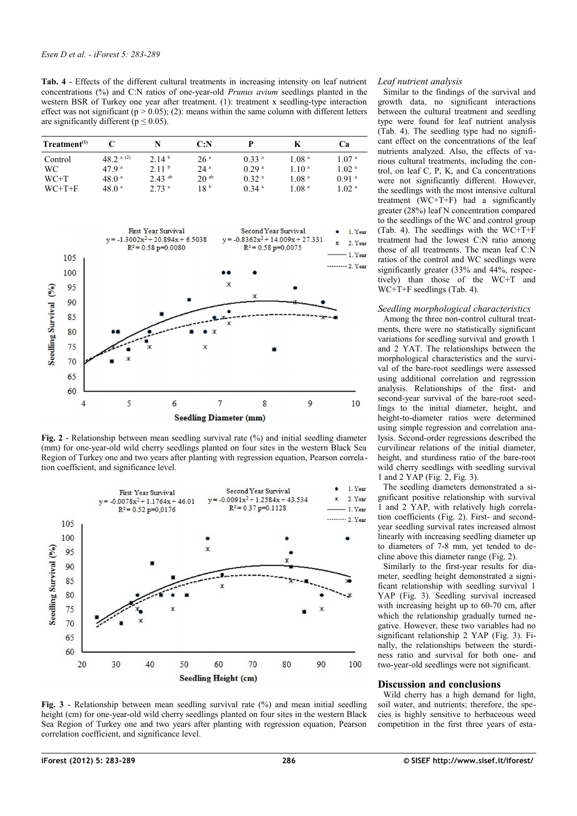<span id="page-3-2"></span>**Tab. 4** - Effects of the different cultural treatments in increasing intensity on leaf nutrient concentrations (%) and C:N ratios of one-year-old *Prunus avium* seedlings planted in the western BSR of Turkey one year after treatment. (1): treatment x seedling-type interaction effect was not significant ( $p > 0.05$ ); (2): means within the same column with different letters are significantly different ( $p \le 0.05$ ).

| $T$ reatment $(1)$ |                  | N                    | C: N             |                     |                   | Cа                |
|--------------------|------------------|----------------------|------------------|---------------------|-------------------|-------------------|
| Control            | 48.2 $a(2)$      | 2.14 <sup>b</sup>    | 26 <sup>a</sup>  | 0.33 <sup>a</sup>   | 1.08 <sup>a</sup> | 1.07 <sup>a</sup> |
| WC.                | 479 <sup>a</sup> | 2.11 <sup>b</sup>    | $24^{\circ}$     | 0.29 <sup>a</sup>   | 1.10 <sup>a</sup> | 1.02 <sup>a</sup> |
| $WC+T$             | $48.0^{\circ}$   | $2.43$ <sup>ab</sup> | 20 <sup>ab</sup> | 0.32 <sup>a</sup>   | 1.08 <sup>a</sup> | 0.91a             |
| $WC+T+F$           | $48.0^{\circ}$   | 2.73 <sup>a</sup>    | 18 <sup>b</sup>  | $0.34$ <sup>a</sup> | 1.08 <sup>a</sup> | 1.02 <sup>a</sup> |



<span id="page-3-1"></span>**Fig. 2** - Relationship between mean seedling survival rate (%) and initial seedling diameter (mm) for one-year-old wild cherry seedlings planted on four sites in the western Black Sea Region of Turkey one and two years after planting with regression equation, Pearson correlation coefficient, and significance level.



<span id="page-3-0"></span>**Fig. 3** - Relationship between mean seedling survival rate (%) and mean initial seedling height (cm) for one-year-old wild cherry seedlings planted on four sites in the western Black Sea Region of Turkey one and two years after planting with regression equation, Pearson correlation coefficient, and significance level.

## *Leaf nutrient analysis*

Similar to the findings of the survival and growth data, no significant interactions between the cultural treatment and seedling type were found for leaf nutrient analysis [\(Tab. 4\)](#page-3-2). The seedling type had no significant effect on the concentrations of the leaf nutrients analyzed. Also, the effects of various cultural treatments, including the control, on leaf C, P, K, and Ca concentrations were not significantly different. However, the seedlings with the most intensive cultural treatment (WC+T+F) had a significantly greater (28%) leaf N concentration compared to the seedlings of the WC and control group [\(Tab. 4\)](#page-3-2). The seedlings with the WC+T+F treatment had the lowest C:N ratio among those of all treatments. The mean leaf C:N ratios of the control and WC seedlings were significantly greater (33% and 44%, respectively) than those of the WC+T and WC+T+F seedlings [\(Tab. 4\)](#page-3-2).

## *Seedling morphological characteristics*

Among the three non-control cultural treatments, there were no statistically significant variations for seedling survival and growth 1 and 2 YAT. The relationships between the morphological characteristics and the survival of the bare-root seedlings were assessed using additional correlation and regression analysis. Relationships of the first- and second-year survival of the bare-root seedlings to the initial diameter, height, and height-to-diameter ratios were determined using simple regression and correlation analysis. Second-order regressions described the curvilinear relations of the initial diameter, height, and sturdiness ratio of the bare-root wild cherry seedlings with seedling survival 1 and 2 YAP [\(Fig. 2,](#page-3-1) [Fig. 3\)](#page-3-0).

The seedling diameters demonstrated a significant positive relationship with survival 1 and 2 YAP, with relatively high correlation coefficients [\(Fig. 2\)](#page-3-1). First- and secondyear seedling survival rates increased almost linearly with increasing seedling diameter up to diameters of 7-8 mm, yet tended to decline above this diameter range [\(Fig. 2\)](#page-3-1).

Similarly to the first-year results for diameter, seedling height demonstrated a significant relationship with seedling survival 1 YAP [\(Fig. 3\)](#page-3-0). Seedling survival increased with increasing height up to 60-70 cm, after which the relationship gradually turned negative. However, these two variables had no significant relationship 2 YAP [\(Fig. 3\)](#page-3-0). Finally, the relationships between the sturdiness ratio and survival for both one- and two-year-old seedlings were not significant.

### **Discussion and conclusions**

Wild cherry has a high demand for light, soil water, and nutrients; therefore, the species is highly sensitive to herbaceous weed competition in the first three years of esta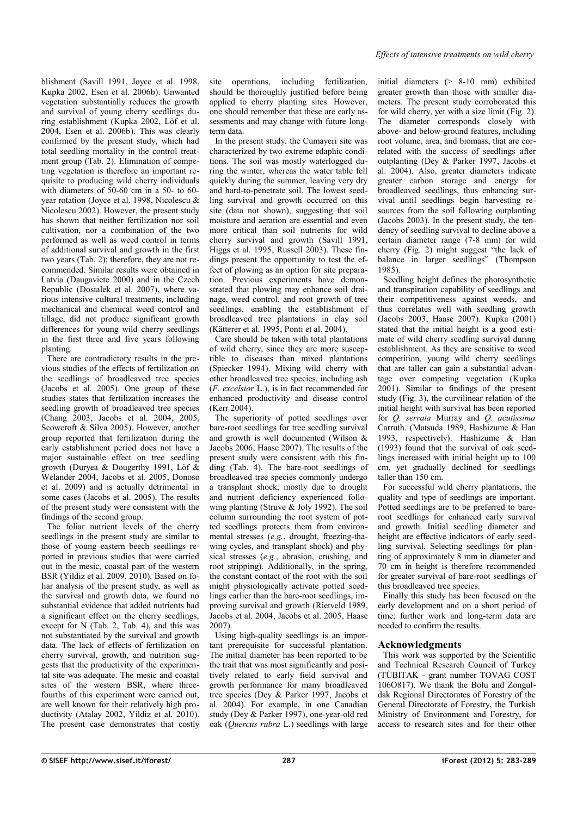blishment (Savill 1991, Joyce et al. 1998, Kupka 2002, Esen et al. 2006b). Unwanted vegetation substantially reduces the growth and survival of young cherry seedlings during establishment (Kupka 2002, Löf et al. 2004, Esen et al. 2006b). This was clearly confirmed by the present study, which had total seedling mortality in the control treatment group [\(Tab. 2\)](#page-2-1). Elimination of competing vegetation is therefore an important requisite to producing wild cherry individuals with diameters of 50-60 cm in a 50- to 60 year rotation (Joyce et al. 1998, Nicolescu & Nicolescu 2002). However, the present study has shown that neither fertilization nor soil cultivation, nor a combination of the two performed as well as weed control in terms of additional survival and growth in the first two years [\(Tab. 2\)](#page-2-1); therefore, they are not recommended. Similar results were obtained in Latvia (Daugaviete 2000) and in the Czech Republic (Dostalek et al. 2007), where various intensive cultural treatments, including mechanical and chemical weed control and tillage, did not produce significant growth differences for young wild cherry seedlings in the first three and five years following planting.

There are contradictory results in the previous studies of the effects of fertilization on the seedlings of broadleaved tree species (Jacobs et al. 2005). One group of these studies states that fertilization increases the seedling growth of broadleaved tree species (Chang 2003, Jacobs et al. 2004, 2005, Scowcroft & Silva 2005). However, another group reported that fertilization during the early establishment period does not have a major sustainable effect on tree seedling growth (Duryea & Dougerthy 1991, Löf & Welander 2004, Jacobs et al. 2005, Donoso et al. 2009) and is actually detrimental in some cases (Jacobs et al. 2005). The results of the present study were consistent with the findings of the second group.

The foliar nutrient levels of the cherry seedlings in the present study are similar to those of young eastern beech seedlings reported in previous studies that were carried out in the mesic, coastal part of the western BSR (Yildiz et al. 2009, 2010). Based on foliar analysis of the present study, as well as the survival and growth data, we found no substantial evidence that added nutrients had a significant effect on the cherry seedlings, except for N [\(Tab. 2,](#page-2-1) [Tab. 4\)](#page-3-2), and this was not substantiated by the survival and growth data. The lack of effects of fertilization on cherry survival, growth, and nutrition suggests that the productivity of the experimental site was adequate. The mesic and coastal sites of the western BSR, where threefourths of this experiment were carried out, are well known for their relatively high productivity (Atalay 2002, Yildiz et al. 2010). The present case demonstrates that costly site operations, including fertilization, should be thoroughly justified before being applied to cherry planting sites. However, one should remember that these are early assessments and may change with future longterm data.

In the present study, the Cumayeri site was characterized by two extreme edaphic conditions. The soil was mostly waterlogged during the winter, whereas the water table fell quickly during the summer, leaving very dry and hard-to-penetrate soil. The lowest seedling survival and growth occurred on this site (data not shown), suggesting that soil moisture and aeration are essential and even more critical than soil nutrients for wild cherry survival and growth (Savill 1991, Higgs et al. 1995, Russell 2003). These findings present the opportunity to test the effect of plowing as an option for site preparation. Previous experiments have demonstrated that plowing may enhance soil drainage, weed control, and root growth of tree seedlings, enabling the establishment of broadleaved tree plantations in clay soil (Kätterer et al. 1995, Ponti et al. 2004).

Care should be taken with total plantations of wild cherry, since they are more susceptible to diseases than mixed plantations (Spiecker 1994). Mixing wild cherry with other broadleaved tree species, including ash (*F. excelsior* L.), is in fact recommended for enhanced productivity and disease control (Kerr 2004).

The superiority of potted seedlings over bare-root seedlings for tree seedling survival and growth is well documented (Wilson & Jacobs 2006, Haase 2007). The results of the present study were consistent with this finding [\(Tab. 4\)](#page-3-2). The bare-root seedlings of broadleaved tree species commonly undergo a transplant shock, mostly due to drought and nutrient deficiency experienced following planting (Struve & Joly 1992). The soil column surrounding the root system of potted seedlings protects them from environmental stresses (*e.g.*, drought, freezing-thawing cycles, and transplant shock) and physical stresses (*e.g.*, abrasion, crushing, and root stripping). Additionally, in the spring, the constant contact of the root with the soil might physiologically activate potted seedlings earlier than the bare-root seedlings, improving survival and growth (Rietveld 1989, Jacobs et al. 2004, Jacobs et al. 2005, Haase 2007).

Using high-quality seedlings is an important prerequisite for successful plantation. The initial diameter has been reported to be the trait that was most significantly and positively related to early field survival and growth performance for many broadleaved tree species (Dey & Parker 1997, Jacobs et al. 2004). For example, in one Canadian study (Dey & Parker 1997), one-year-old red oak (*Quercus rubra* L.) seedlings with large initial diameters (> 8-10 mm) exhibited greater growth than those with smaller diameters. The present study corroborated this for wild cherry, yet with a size limit ([Fig. 2\)](#page-3-1). The diameter corresponds closely with above- and below-ground features, including root volume, area, and biomass, that are correlated with the success of seedlings after outplanting (Dey & Parker 1997, Jacobs et al. 2004). Also, greater diameters indicate greater carbon storage and energy for broadleaved seedlings, thus enhancing survival until seedlings begin harvesting resources from the soil following outplanting (Jacobs 2003). In the present study, the tendency of seedling survival to decline above a certain diameter range (7-8 mm) for wild cherry [\(Fig. 2\)](#page-3-1) might suggest "the lack of balance in larger seedlings" (Thompson 1985).

Seedling height defines the photosynthetic and transpiration capability of seedlings and their competitiveness against weeds, and thus correlates well with seedling growth (Jacobs 2003, Haase 2007). Kupka (2001) stated that the initial height is a good estimate of wild cherry seedling survival during establishment. As they are sensitive to weed competition, young wild cherry seedlings that are taller can gain a substantial advantage over competing vegetation (Kupka 2001). Similar to findings of the present study [\(Fig. 3\)](#page-3-0), the curvilinear relation of the initial height with survival has been reported for *Q. serrata* Murray and *Q. acutissima* Carruth. (Matsuda 1989, Hashizume & Han 1993, respectively). Hashizume & Han (1993) found that the survival of oak seedlings increased with initial height up to 100 cm, yet gradually declined for seedlings taller than 150 cm.

For successful wild cherry plantations, the quality and type of seedlings are important. Potted seedlings are to be preferred to bareroot seedlings for enhanced early survival and growth. Initial seedling diameter and height are effective indicators of early seedling survival. Selecting seedlings for planting of approximately 8 mm in diameter and 70 cm in height is therefore recommended for greater survival of bare-root seedlings of this broadleaved tree species.

Finally this study has been focused on the early development and on a short period of time; further work and long-term data are needed to confirm the results.

## **Acknowledgments**

This work was supported by the Scientific and Technical Research Council of Turkey (TÜBITAK - grant number TOVAG COST 106O817). We thank the Bolu and Zonguldak Regional Directorates of Forestry of the General Directorate of Forestry, the Turkish Ministry of Environment and Forestry, for access to research sites and for their other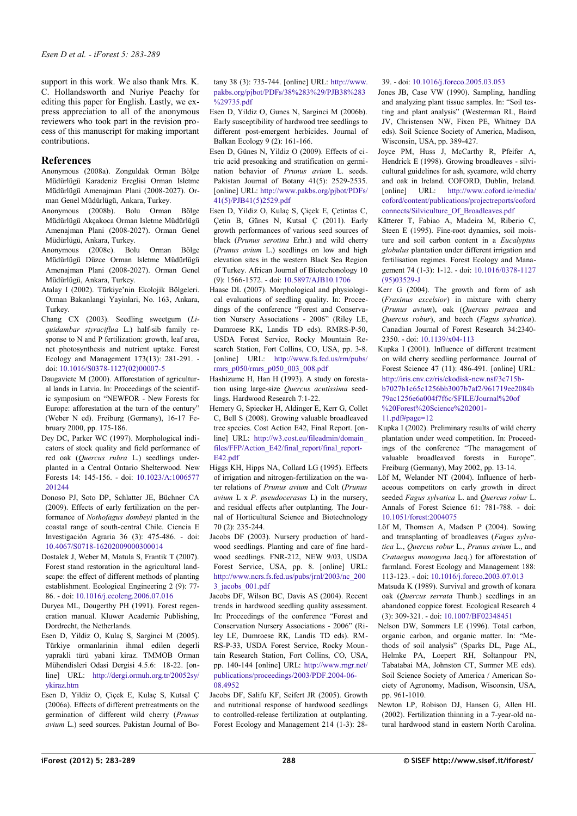support in this work. We also thank Mrs. K. C. Hollandsworth and Nuriye Peachy for editing this paper for English. Lastly, we express appreciation to all of the anonymous reviewers who took part in the revision process of this manuscript for making important contributions.

# **References**

- Anonymous (2008a). Zonguldak Orman Bölge Müdürlügü Karadeniz Ereglisi Orman Isletme Müdürlügü Amenajman Plani (2008-2027). Orman Genel Müdürlügü, Ankara, Turkey.
- Anonymous (2008b). Bolu Orman Bölge Müdürlügü Akçakoca Orman Isletme Müdürlügü Amenajman Plani (2008-2027). Orman Genel Müdürlügü, Ankara, Turkey.
- Anonymous (2008c). Bolu Orman Bölge Müdürlügü Düzce Orman Isletme Müdürlügü Amenajman Plani (2008-2027). Orman Genel Müdürlügü, Ankara, Turkey.
- Atalay I (2002). Türkiye'nin Ekolojik Bölgeleri. Orman Bakanlangi Yayinlari, No. 163, Ankara, Turkey.
- Chang CX (2003). Seedling sweetgum (*Liquidambar styraciflua* L.) half-sib family response to N and P fertilization: growth, leaf area, net photosynthesis and nutrient uptake. Forest Ecology and Management 173(13): 281-291. doi: [10.1016/S0378-1127\(02\)00007-5](http://dx.doi.org/10.1016/S0378-1127(02)00007-5)
- Daugaviete M (2000). Afforestation of agricultural lands in Latvia. In: Proceedings of the scientific symposium on "NEWFOR - New Forests for Europe: afforestation at the turn of the century" (Weber N ed). Freiburg (Germany), 16-17 February 2000, pp. 175-186.
- Dey DC, Parker WC (1997). Morphological indicators of stock quality and field performance of red oak (*Quercus rubra* L.) seedlings underplanted in a Central Ontario Shelterwood. New Forests 14: 145-156. - doi: [10.1023/A:1006577](http://dx.doi.org/10.1023/A:1006577201244) [201244](http://dx.doi.org/10.1023/A:1006577201244)
- Donoso PJ, Soto DP, Schlatter JE, Büchner CA (2009). Effects of early fertilization on the performance of *Nothofagus dombeyi* planted in the coastal range of south-central Chile. Ciencia E Investigación Agraria 36 (3): 475-486. - doi: [10.4067/S0718-16202009000300014](http://dx.doi.org/10.4067/S0718-16202009000300014)
- Dostalek J, Weber M, Matula S, Frantik T (2007). Forest stand restoration in the agricultural landscape: the effect of different methods of planting establishment. Ecological Engineering 2 (9): 77- 86. - doi: [10.1016/j.ecoleng.2006.07.016](http://dx.doi.org/10.1016/j.ecoleng.2006.07.016)
- Duryea ML, Dougerthy PH (1991). Forest regeneration manual. Kluwer Academic Publishing, Dordrecht, the Netherlands.
- Esen D, Yildiz O, Kulaç S, Sarginci M (2005). Türkiye ormanlarinin ihmal edilen degerli yaprakli türü yabani kiraz. TMMOB Orman Mühendisleri Odasi Dergisi 4.5.6: 18-22. [online] URL: [http://dergi.ormuh.org.tr/20052sy/](http://dergi.ormuh.org.tr/20052sy/ykiraz.htm) [ykiraz.htm](http://dergi.ormuh.org.tr/20052sy/ykiraz.htm)
- Esen D, Yildiz O, Çiçek E, Kulaç S, Kutsal Ç (2006a). Effects of different pretreatments on the germination of different wild cherry (*Prunus avium* L.) seed sources. Pakistan Journal of Bo-

tany 38 (3): 735-744. [online] URL: [http://www.](http://www.pakbs.org/pjbot/PDFs/38(3)/PJB38(3)735.pdf) [pakbs.org/pjbot/PDFs/38%283%29/PJB38%283](http://www.pakbs.org/pjbot/PDFs/38(3)/PJB38(3)735.pdf) [%29735.pdf](http://www.pakbs.org/pjbot/PDFs/38(3)/PJB38(3)735.pdf)

- Esen D, Yildiz O, Gunes N, Sarginci M (2006b). Early susceptibility of hardwood tree seedlings to different post-emergent herbicides. Journal of Balkan Ecology 9 (2): 161-166.
- Esen D, Günes N, Yildiz O (2009). Effects of citric acid presoaking and stratification on germination behavior of *Prunus avium* L. seeds. Pakistan Journal of Botany 41(5): 2529-2535. [online] URL: [http://www.pakbs.org/pjbot/PDFs/](http://www.pakbs.org/pjbot/PDFs/41(5)/PJB41(5)2529.pdf) [41\(5\)/PJB41\(5\)2529.pdf](http://www.pakbs.org/pjbot/PDFs/41(5)/PJB41(5)2529.pdf)
- Esen D, Yildiz O, Kulaç S, Çiçek E, Çetintas C, Çetin B, Günes N, Kutsal Ç (2011). Early growth performances of various seed sources of black (*Prunus serotina* Erhr.) and wild cherry (*Prunus avium* L.) seedlings on low and high elevation sites in the western Black Sea Region of Turkey. African Journal of Biotechonology 10 (9): 1566-1572. - doi: [10.5897/AJB10.1706](http://dx.doi.org/10.5897/AJB10.1706)
- Haase DL (2007). Morphological and physiological evaluations of seedling quality. In: Proceedings of the conference "Forest and Conservation Nursery Associations - 2006" (Riley LE, Dumroese RK, Landis TD eds). RMRS-P-50, USDA Forest Service, Rocky Mountain Research Station, Fort Collins, CO, USA, pp. 3-8. [online] URL: [http://www.fs.fed.us/rm/pubs/](http://www.fs.fed.us/rm/pubs/rmrs_p050/rmrs_p050_003_008.pdf) [rmrs\\_p050/rmrs\\_p050\\_003\\_008.pdf](http://www.fs.fed.us/rm/pubs/rmrs_p050/rmrs_p050_003_008.pdf)
- Hashizume H, Han H (1993). A study on forestation using large-size *Quercus acutissima* seedlings. Hardwood Research 7:1-22.
- Hemery G, Spiecker H, Aldinger E, Kerr G, Collet C, Bell S (2008). Growing valuable broadleaved tree species. Cost Action E42, Final Report. [online] URL: [http://w3.cost.eu/fileadmin/domain\\_](http://w3.cost.eu/fileadmin/domain_files/FFP/Action_E42/final_report/final_report-E42.pdf) [files/FFP/Action\\_E42/final\\_report/final\\_report-](http://w3.cost.eu/fileadmin/domain_files/FFP/Action_E42/final_report/final_report-E42.pdf)[E42.pdf](http://w3.cost.eu/fileadmin/domain_files/FFP/Action_E42/final_report/final_report-E42.pdf)
- Higgs KH, Hipps NA, Collard LG (1995). Effects of irrigation and nitrogen-fertilization on the water relations of *Prunus avium* and Colt (*Prunus avium* L x *P. pseudocerasus* L) in the nursery, and residual effects after outplanting. The Journal of Horticultural Science and Biotechnology 70 (2): 235-244.
- Jacobs DF (2003). Nursery production of hardwood seedlings. Planting and care of fine hardwood seedlings. FNR-212, NEW 9/03, USDA Forest Service, USA, pp. 8. [online] URL: [http://www.ncrs.fs.fed.us/pubs/jrnl/2003/nc\\_200](http://www.ncrs.fs.fed.us/pubs/jrnl/2003/nc_2003_jacobs_001.pdf) [3\\_jacobs\\_001.pdf](http://www.ncrs.fs.fed.us/pubs/jrnl/2003/nc_2003_jacobs_001.pdf)
- Jacobs DF, Wilson BC, Davis AS (2004). Recent trends in hardwood seedling quality assessment. In: Proceedings of the conference "Forest and Conservation Nursery Associations - 2006" (Riley LE, Dumroese RK, Landis TD eds). RM-RS-P-33, USDA Forest Service, Rocky Mountain Research Station, Fort Collins, CO, USA, pp. 140-144 [online] URL: [http://www.rngr.net/](http://www.rngr.net/publications/proceedings/2003/PDF.2004-06-08.4952) [publications/proceedings/2003/PDF.2004-06-](http://www.rngr.net/publications/proceedings/2003/PDF.2004-06-08.4952) [08.4952](http://www.rngr.net/publications/proceedings/2003/PDF.2004-06-08.4952)
- Jacobs DF, Salifu KF, Seifert JR (2005). Growth and nutritional response of hardwood seedlings to controlled-release fertilization at outplanting. Forest Ecology and Management 214 (1-3): 28-

### 39. - doi: [10.1016/j.foreco.2005.03.053](http://dx.doi.org/10.1016/j.foreco.2005.03.053)

- Jones JB, Case VW (1990). Sampling, handling and analyzing plant tissue samples. In: "Soil testing and plant analysis" (Westerman RL, Baird JV, Christensen NW, Fixen PE, Whitney DA eds). Soil Science Society of America, Madison, Wisconsin, USA, pp. 389-427.
- Joyce PM, Huss J, McCarthy R, Pfeifer A, Hendrick E (1998). Growing broadleaves - silvicultural guidelines for ash, sycamore, wild cherry and oak in Ireland. COFORD, Dublin, Ireland. [online] URL: [http://www.coford.ie/media/](http://www.coford.ie/media/coford/content/publications/projectreports/cofordconnects/Silviculture_Of_Broadleaves.pdf) [coford/content/publications/projectreports/coford](http://www.coford.ie/media/coford/content/publications/projectreports/cofordconnects/Silviculture_Of_Broadleaves.pdf) [connects/Silviculture\\_Of\\_Broadleaves.pdf](http://www.coford.ie/media/coford/content/publications/projectreports/cofordconnects/Silviculture_Of_Broadleaves.pdf)
- Kätterer T, Fabiao A, Madeira M, Riberio C, Steen E (1995). Fine-root dynamics, soil moisture and soil carbon content in a *Eucalyptus globulus* plantation under different irrigation and fertilisation regimes. Forest Ecology and Management 74 (1-3): 1-12. - doi: [10.1016/0378-1127](http://dx.doi.org/10.1016/0378-1127(95)03529-J) [\(95\)03529-J](http://dx.doi.org/10.1016/0378-1127(95)03529-J)
- Kerr G (2004). The growth and form of ash (*Fraxinus excelsior*) in mixture with cherry (*Prunus avium*), oak (*Quercus petraea* and *Quercus robur*), and beech (*Fagus sylvatica*). Canadian Journal of Forest Research 34:2340- 2350. - doi: [10.1139/x04-113](http://dx.doi.org/10.1139/x04-113)
- Kupka I (2001). Influence of different treatment on wild cherry seedling performance. Journal of Forest Science 47 (11): 486-491. [online] URL: [http://iris.env.cz/ris/ekodisk-new.nsf/3c715b](http://iris.env.cz/ris/ekodisk-new.nsf/3c715bb7027b1c65c1256bb3007b7af2/961719ee2084b79ac1256e6a004f7f6c/$FILE/Journal%20of%20Forest%20Science%202001-11.pdf#page=12)[b7027b1c65c1256bb3007b7af2/961719ee2084b](http://iris.env.cz/ris/ekodisk-new.nsf/3c715bb7027b1c65c1256bb3007b7af2/961719ee2084b79ac1256e6a004f7f6c/$FILE/Journal%20of%20Forest%20Science%202001-11.pdf#page=12) 79ac1256e6a004f7f6c/\$FILE/Journal%20of %20Forest%20Science%202001- [11.pdf#page=12](http://iris.env.cz/ris/ekodisk-new.nsf/3c715bb7027b1c65c1256bb3007b7af2/961719ee2084b79ac1256e6a004f7f6c/$FILE/Journal%20of%20Forest%20Science%202001-11.pdf#page=12)
- Kupka I (2002). Preliminary results of wild cherry plantation under weed competition. In: Proceedings of the conference "The management of valuable broadleaved forests in Europe". Freiburg (Germany), May 2002, pp. 13-14.
- Löf M, Welander NT (2004). Influence of herbaceous competitors on early growth in direct seeded *Fagus sylvatica* L. and *Quercus robur* L. Annals of Forest Science 61: 781-788. - doi: [10.1051/forest:2004075](http://dx.doi.org/10.1051/forest:2004075)
- Löf M, Thomsen A, Madsen P (2004). Sowing and transplanting of broadleaves (*Fagus sylvatica* L., *Quercus robur* L., *Prunus avium* L., and *Crataegus monogyna* Jacq.) for afforestation of farmland. Forest Ecology and Management 188: 113-123. - doi: [10.1016/j.foreco.2003.07.013](http://dx.doi.org/10.1016/j.foreco.2003.07.013)
- Matsuda K (1989). Survival and growth of konara oak (*Quercus serrata* Thunb.) seedlings in an abandoned coppice forest. Ecological Research 4 (3): 309-321. - doi: [10.1007/BF02348451](http://dx.doi.org/10.1007/BF02348451)
- Nelson DW, Sommers LE (1996). Total carbon, organic carbon, and organic matter. In: "Methods of soil analysis" (Sparks DL, Page AL, Helmke PA, Loepert RH, Soltanpour PN, Tabatabai MA, Johnston CT, Sumner ME eds). Soil Science Society of America / American Society of Agronomy, Madison, Wisconsin, USA, pp. 961-1010.
- Newton LP, Robison DJ, Hansen G, Allen HL (2002). Fertilization thinning in a 7-year-old natural hardwood stand in eastern North Carolina.